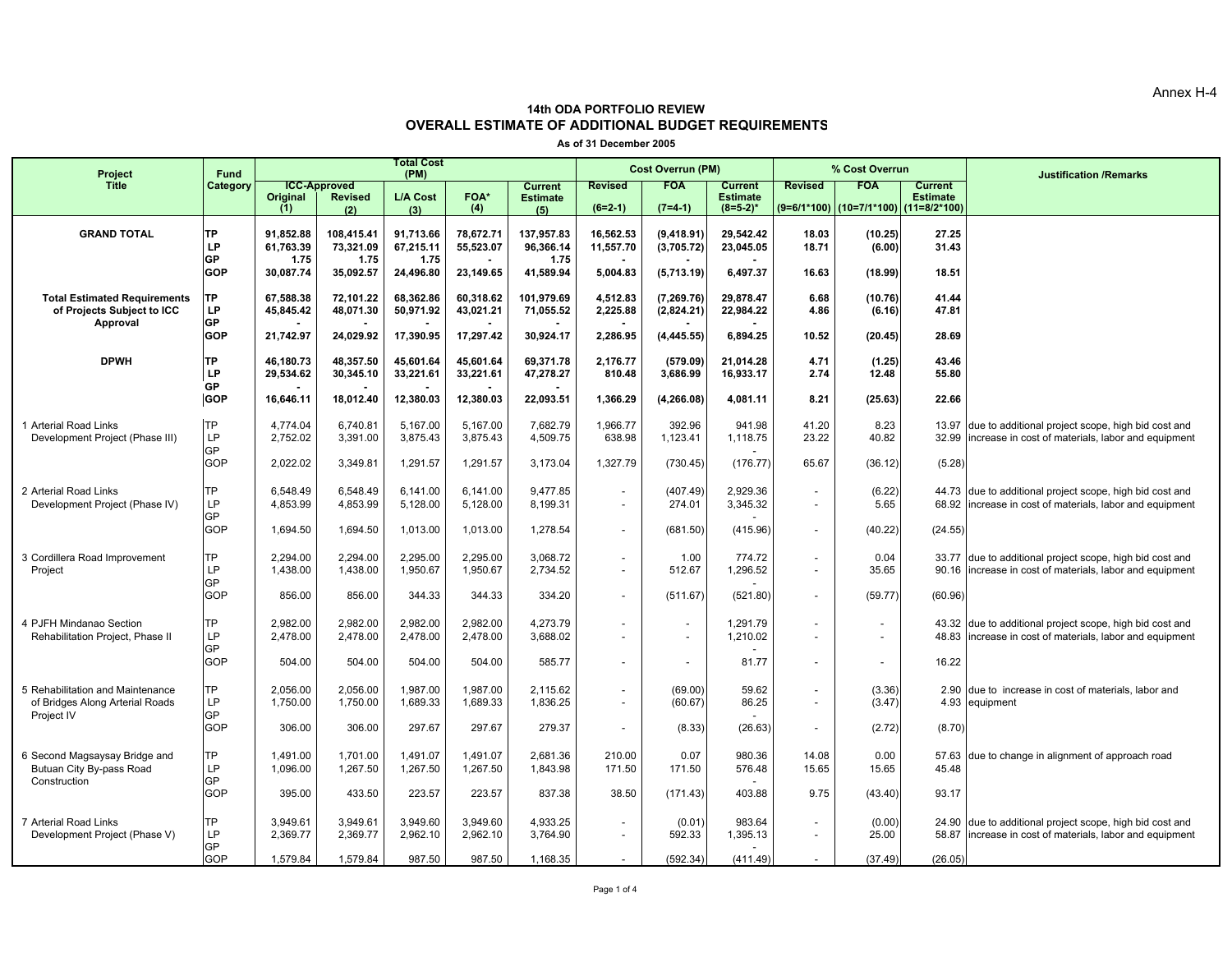Annex H-4

## **OVERALL ESTIMATE OF ADDITIONAL BUDGET REQUIREMENTS 14th ODA PORTFOLIO REVIEW**

**As of 31 December 2005**

| Project                                                             | <b>Fund</b>      |                        |                                       | <b>Total Cost</b><br>(PM) |                        |                                   |                        | <b>Cost Overrun (PM)</b>  |                                   |                          | % Cost Overrun                        |                                   | <b>Justification /Remarks</b>                                                                                  |
|---------------------------------------------------------------------|------------------|------------------------|---------------------------------------|---------------------------|------------------------|-----------------------------------|------------------------|---------------------------|-----------------------------------|--------------------------|---------------------------------------|-----------------------------------|----------------------------------------------------------------------------------------------------------------|
| <b>Title</b>                                                        | Category         | Original               | <b>ICC-Approved</b><br><b>Revised</b> | L/A Cost                  | <b>FOA*</b>            | <b>Current</b><br><b>Estimate</b> | <b>Revised</b>         | <b>FOA</b>                | <b>Current</b><br><b>Estimate</b> | <b>Revised</b>           | <b>FOA</b>                            | <b>Current</b><br><b>Estimate</b> |                                                                                                                |
|                                                                     |                  | (1)                    | (2)                                   | (3)                       | (4)                    | (5)                               | $(6=2-1)$              | $(7=4-1)$                 | $(8=5-2)^*$                       |                          | (9=6/1*100) (10=7/1*100) (11=8/2*100) |                                   |                                                                                                                |
| <b>GRAND TOTAL</b>                                                  | ТP<br>LP         | 91,852.88<br>61,763.39 | 108,415.41<br>73.321.09               | 91,713.66<br>67,215.11    | 78,672.71<br>55,523.07 | 137,957.83<br>96.366.14           | 16,562.53<br>11,557.70 | (9,418.91)<br>(3,705.72)  | 29,542.42<br>23,045.05            | 18.03<br>18.71           | (10.25)<br>(6.00)                     | 27.25<br>31.43                    |                                                                                                                |
|                                                                     | GP               | 1.75                   | 1.75                                  | 1.75                      |                        | 1.75                              |                        |                           |                                   |                          |                                       |                                   |                                                                                                                |
|                                                                     | <b>GOP</b>       | 30,087.74              | 35,092.57                             | 24,496.80                 | 23,149.65              | 41,589.94                         | 5,004.83               | (5,713.19)                | 6,497.37                          | 16.63                    | (18.99)                               | 18.51                             |                                                                                                                |
| <b>Total Estimated Requirements</b><br>of Projects Subject to ICC   | TP<br>LP         | 67,588.38<br>45,845.42 | 72,101.22<br>48,071.30                | 68,362.86<br>50.971.92    | 60,318.62<br>43,021.21 | 101,979.69<br>71.055.52           | 4,512.83<br>2,225.88   | (7, 269.76)<br>(2,824.21) | 29,878.47<br>22,984.22            | 6.68<br>4.86             | (10.76)<br>(6.16)                     | 41.44<br>47.81                    |                                                                                                                |
| Approval                                                            | GP               |                        |                                       |                           |                        |                                   |                        |                           |                                   |                          |                                       |                                   |                                                                                                                |
|                                                                     | <b>GOP</b>       | 21,742.97              | 24,029.92                             | 17,390.95                 | 17,297.42              | 30,924.17                         | 2,286.95               | (4, 445.55)               | 6,894.25                          | 10.52                    | (20.45)                               | 28.69                             |                                                                                                                |
| <b>DPWH</b>                                                         | TP<br>LP         | 46.180.73<br>29,534.62 | 48.357.50<br>30,345.10                | 45.601.64<br>33,221.61    | 45.601.64<br>33,221.61 | 69.371.78<br>47,278.27            | 2.176.77<br>810.48     | (579.09)<br>3,686.99      | 21.014.28<br>16,933.17            | 4.71<br>2.74             | (1.25)<br>12.48                       | 43.46<br>55.80                    |                                                                                                                |
|                                                                     | GP<br><b>GOP</b> | 16,646.11              | 18,012.40                             | 12,380.03                 | 12,380.03              | 22,093.51                         | 1,366.29               | (4, 266.08)               | 4,081.11                          | 8.21                     | (25.63)                               | 22.66                             |                                                                                                                |
|                                                                     |                  |                        |                                       |                           |                        |                                   |                        |                           |                                   |                          |                                       |                                   |                                                                                                                |
| 1 Arterial Road Links<br>Development Project (Phase III)            | <b>TP</b><br>LP  | 4,774.04<br>2,752.02   | 6,740.81<br>3,391.00                  | 5,167.00<br>3,875.43      | 5,167.00<br>3,875.43   | 7,682.79<br>4,509.75              | 1,966.77<br>638.98     | 392.96<br>1,123.41        | 941.98<br>1,118.75                | 41.20<br>23.22           | 8.23<br>40.82                         | 13.97<br>32.99                    | due to additional project scope, high bid cost and<br>increase in cost of materials, labor and equipment       |
|                                                                     | GP<br>GOP        | 2,022.02               | 3,349.81                              | 1,291.57                  | 1,291.57               | 3,173.04                          | 1,327.79               | (730.45)                  | (176.77)                          | 65.67                    | (36.12)                               | (5.28)                            |                                                                                                                |
|                                                                     |                  |                        |                                       |                           |                        |                                   |                        |                           |                                   |                          |                                       |                                   |                                                                                                                |
| 2 Arterial Road Links<br>Development Project (Phase IV)             | ТP<br>LP         | 6,548.49<br>4,853.99   | 6,548.49<br>4.853.99                  | 6,141.00<br>5,128.00      | 6,141.00<br>5,128.00   | 9,477.85<br>8.199.31              |                        | (407.49)<br>274.01        | 2,929.36<br>3,345.32              |                          | (6.22)<br>5.65                        | 68.92                             | 44.73 due to additional project scope, high bid cost and<br>increase in cost of materials, labor and equipment |
|                                                                     | GP<br>GOP        | 1,694.50               | 1,694.50                              | 1,013.00                  | 1,013.00               | 1,278.54                          |                        | (681.50)                  | (415.96)                          | $\overline{\phantom{a}}$ | (40.22)                               | (24.55)                           |                                                                                                                |
|                                                                     |                  |                        |                                       |                           |                        |                                   |                        |                           |                                   |                          |                                       |                                   |                                                                                                                |
| 3 Cordillera Road Improvement<br>Project                            | ГP<br>LP         | 2,294.00<br>1,438.00   | 2,294.00<br>1,438.00                  | 2,295.00<br>1,950.67      | 2,295.00<br>1,950.67   | 3,068.72<br>2,734.52              |                        | 1.00<br>512.67            | 774.72<br>1,296.52                |                          | 0.04<br>35.65                         | 90.16                             | 33.77 due to additional project scope, high bid cost and<br>increase in cost of materials, labor and equipment |
|                                                                     | GP.              |                        |                                       |                           |                        |                                   |                        |                           |                                   |                          |                                       |                                   |                                                                                                                |
|                                                                     | GOP              | 856.00                 | 856.00                                | 344.33                    | 344.33                 | 334.20                            |                        | (511.67)                  | (521.80)                          | $\sim$                   | (59.77)                               | (60.96)                           |                                                                                                                |
| 4 PJFH Mindanao Section<br>Rehabilitation Project, Phase II         | ГP<br>LP         | 2.982.00<br>2,478.00   | 2.982.00<br>2,478.00                  | 2.982.00<br>2,478.00      | 2,982.00<br>2,478.00   | 4,273.79<br>3,688.02              |                        |                           | 1,291.79<br>1,210.02              |                          | $\overline{\phantom{a}}$              | 48.83                             | 43.32 due to additional project scope, high bid cost and<br>increase in cost of materials, labor and equipment |
|                                                                     | GP               |                        |                                       |                           |                        |                                   |                        |                           |                                   |                          |                                       |                                   |                                                                                                                |
|                                                                     | GOP              | 504.00                 | 504.00                                | 504.00                    | 504.00                 | 585.77                            |                        |                           | 81.77                             |                          |                                       | 16.22                             |                                                                                                                |
| 5 Rehabilitation and Maintenance<br>of Bridges Along Arterial Roads | ТP<br>LP         | 2,056.00<br>1,750.00   | 2,056.00<br>1,750.00                  | 1,987.00<br>1,689.33      | 1,987.00<br>1,689.33   | 2,115.62<br>1,836.25              |                        | (69.00)<br>(60.67)        | 59.62<br>86.25                    |                          | (3.36)<br>(3.47)                      | 4.93                              | 2.90 due to increase in cost of materials, labor and<br>equipment                                              |
| Project IV                                                          | GP               |                        |                                       |                           |                        |                                   |                        |                           |                                   |                          |                                       |                                   |                                                                                                                |
|                                                                     | GOP              | 306.00                 | 306.00                                | 297.67                    | 297.67                 | 279.37                            |                        | (8.33)                    | (26.63)                           |                          | (2.72)                                | (8.70)                            |                                                                                                                |
| 6 Second Magsaysay Bridge and                                       | ТP<br>LP         | 1,491.00               | 1,701.00                              | 1,491.07                  | 1,491.07               | 2,681.36                          | 210.00                 | 0.07                      | 980.36                            | 14.08                    | 0.00                                  |                                   | 57.63 due to change in alignment of approach road                                                              |
| Butuan City By-pass Road<br>Construction                            | GP               | 1,096.00               | 1,267.50                              | 1,267.50                  | 1,267.50               | 1,843.98                          | 171.50                 | 171.50                    | 576.48                            | 15.65                    | 15.65                                 | 45.48                             |                                                                                                                |
|                                                                     | GOP              | 395.00                 | 433.50                                | 223.57                    | 223.57                 | 837.38                            | 38.50                  | (171.43)                  | 403.88                            | 9.75                     | (43.40)                               | 93.17                             |                                                                                                                |
| 7 Arterial Road Links                                               | ГP               | 3,949.61               | 3,949.61                              | 3,949.60                  | 3,949.60               | 4,933.25                          |                        | (0.01)                    | 983.64                            |                          | (0.00)                                |                                   | 24.90 due to additional project scope, high bid cost and                                                       |
| Development Project (Phase V)                                       | LP<br>GP         | 2,369.77               | 2,369.77                              | 2,962.10                  | 2,962.10               | 3,764.90                          |                        | 592.33                    | 1,395.13                          | $\overline{\phantom{a}}$ | 25.00                                 | 58.87                             | increase in cost of materials, labor and equipment                                                             |
|                                                                     | <b>GOP</b>       | 1,579.84               | 1,579.84                              | 987.50                    | 987.50                 | 1,168.35                          |                        | (592.34)                  | (411.49)                          |                          | (37.49)                               | (26.05)                           |                                                                                                                |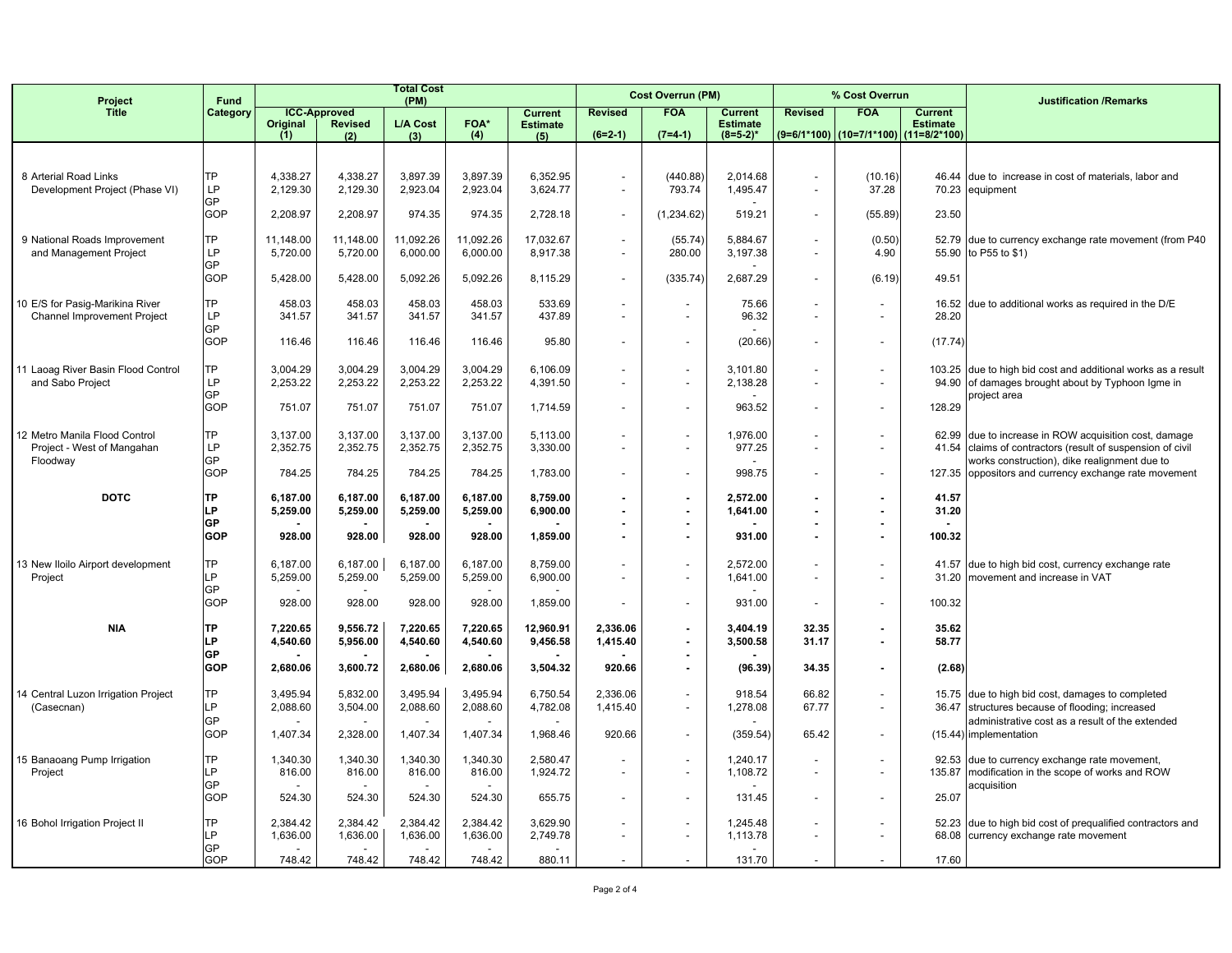| Project                                                               | <b>Fund</b><br>Category |                       |                                       | <b>Total Cost</b><br>(PM) |                       |                                   |                                                      | <b>Cost Overrun (PM)</b>                             |                                   |                                                      | % Cost Overrun                            |                                   | <b>Justification /Remarks</b>                                                                                     |
|-----------------------------------------------------------------------|-------------------------|-----------------------|---------------------------------------|---------------------------|-----------------------|-----------------------------------|------------------------------------------------------|------------------------------------------------------|-----------------------------------|------------------------------------------------------|-------------------------------------------|-----------------------------------|-------------------------------------------------------------------------------------------------------------------|
| <b>Title</b>                                                          |                         | Original              | <b>ICC-Approved</b><br><b>Revised</b> | L/A Cost                  | <b>FOA*</b>           | <b>Current</b><br><b>Estimate</b> | <b>Revised</b>                                       | <b>FOA</b>                                           | <b>Current</b><br><b>Estimate</b> | <b>Revised</b>                                       | <b>FOA</b>                                | <b>Current</b><br><b>Estimate</b> |                                                                                                                   |
|                                                                       |                         | (1)                   | (2)                                   | (3)                       | (4)                   | (5)                               | $(6=2-1)$                                            | $(7=4-1)$                                            | $(8=5-2)^*$                       |                                                      | (9=6/1*100)   (10=7/1*100)   (11=8/2*100) |                                   |                                                                                                                   |
|                                                                       |                         |                       |                                       |                           |                       |                                   |                                                      |                                                      |                                   |                                                      |                                           |                                   |                                                                                                                   |
| 8 Arterial Road Links<br>Development Project (Phase VI)               | <b>TP</b><br>LP.        | 4,338.27<br>2,129.30  | 4,338.27<br>2,129.30                  | 3,897.39<br>2,923.04      | 3,897.39<br>2,923.04  | 6,352.95<br>3,624.77              | $\overline{\phantom{a}}$<br>$\overline{\phantom{a}}$ | (440.88)<br>793.74                                   | 2,014.68<br>1,495.47              | $\sim$<br>$\sim$                                     | (10.16)<br>37.28                          | 46.44                             | due to increase in cost of materials, labor and<br>70.23 equipment                                                |
|                                                                       | <b>GP</b><br>GOP        | 2,208.97              | 2,208.97                              | 974.35                    | 974.35                | 2,728.18                          | $\overline{\phantom{a}}$                             | (1,234.62)                                           | 519.21                            | $\overline{\phantom{a}}$                             | (55.89)                                   | 23.50                             |                                                                                                                   |
| 9 National Roads Improvement<br>and Management Project                | <b>TP</b><br>LP         | 11,148.00<br>5,720.00 | 11,148.00<br>5,720.00                 | 11,092.26<br>6,000.00     | 11,092.26<br>6,000.00 | 17,032.67<br>8,917.38             |                                                      | (55.74)<br>280.00                                    | 5,884.67<br>3,197.38              |                                                      | (0.50)<br>4.90                            |                                   | 52.79 due to currency exchange rate movement (from P40<br>55.90 to P55 to \$1)                                    |
|                                                                       | GP<br><b>GOP</b>        | 5,428.00              | 5,428.00                              | 5,092.26                  | 5,092.26              | 8,115.29                          | $\overline{\phantom{a}}$                             | (335.74)                                             | 2,687.29                          | $\overline{\phantom{a}}$                             | (6.19)                                    | 49.51                             |                                                                                                                   |
| 10 E/S for Pasig-Marikina River<br><b>Channel Improvement Project</b> | <b>TP</b><br>LP         | 458.03<br>341.57      | 458.03<br>341.57                      | 458.03<br>341.57          | 458.03<br>341.57      | 533.69<br>437.89                  | $\overline{\phantom{a}}$                             | $\overline{\phantom{a}}$                             | 75.66<br>96.32                    |                                                      |                                           | 16.52<br>28.20                    | due to additional works as required in the D/E                                                                    |
|                                                                       | <b>GP</b><br>GOP        | 116.46                | 116.46                                | 116.46                    | 116.46                | 95.80                             |                                                      |                                                      | (20.66)                           | $\blacksquare$                                       |                                           | (17.74)                           |                                                                                                                   |
| 11 Laoag River Basin Flood Control<br>and Sabo Project                | ТP<br><b>LP</b>         | 3,004.29<br>2,253.22  | 3,004.29<br>2,253.22                  | 3,004.29<br>2,253.22      | 3,004.29<br>2,253.22  | 6,106.09<br>4,391.50              | $\overline{\phantom{a}}$                             | $\overline{\phantom{a}}$<br>$\overline{\phantom{a}}$ | 3,101.80<br>2,138.28              | $\blacksquare$                                       |                                           |                                   | 103.25 due to high bid cost and additional works as a result<br>94.90 of damages brought about by Typhoon Igme in |
|                                                                       | <b>GP</b><br><b>GOP</b> | 751.07                | 751.07                                | 751.07                    | 751.07                | 1,714.59                          |                                                      | $\sim$                                               | 963.52                            | $\blacksquare$                                       |                                           | 128.29                            | project area                                                                                                      |
| 12 Metro Manila Flood Control<br>Project - West of Mangahan           | <b>TP</b><br>LP         | 3,137.00<br>2,352.75  | 3,137.00<br>2,352.75                  | 3,137.00<br>2,352.75      | 3,137.00<br>2,352.75  | 5,113.00<br>3,330.00              |                                                      | $\overline{\phantom{a}}$                             | 1,976.00<br>977.25                | $\overline{\phantom{a}}$                             |                                           | 41.54                             | 62.99 due to increase in ROW acquisition cost, damage<br>claims of contractors (result of suspension of civil     |
| Floodway                                                              | GP<br>GOP               | 784.25                | 784.25                                | 784.25                    | 784.25                | 1,783.00                          |                                                      | $\overline{a}$                                       | 998.75                            | $\overline{a}$                                       |                                           |                                   | works construction), dike realignment due to<br>127.35 oppositors and currency exchange rate movement             |
| <b>DOTC</b>                                                           | <b>TP</b><br>LP.        | 6,187.00<br>5,259.00  | 6.187.00<br>5,259.00                  | 6,187.00<br>5,259.00      | 6,187.00<br>5,259.00  | 8,759.00<br>6,900.00              | $\overline{\phantom{a}}$                             | $\overline{\phantom{a}}$                             | 2,572.00<br>1,641.00              | $\blacksquare$<br>$\blacksquare$                     |                                           | 41.57<br>31.20                    |                                                                                                                   |
|                                                                       | <b>GP</b><br><b>GOP</b> | 928.00                | 928.00                                | 928.00                    | 928.00                | 1,859.00                          |                                                      |                                                      | 931.00                            | $\blacksquare$<br>$\blacksquare$                     | $\sim$                                    | 100.32                            |                                                                                                                   |
| 13 New Iloilo Airport development<br>Project                          | TP<br>I P               | 6,187.00<br>5,259.00  | 6,187.00<br>5,259.00                  | 6,187.00<br>5,259.00      | 6,187.00<br>5,259.00  | 8,759.00<br>6,900.00              |                                                      | $\overline{\phantom{a}}$<br>$\overline{\phantom{a}}$ | 2,572.00<br>1,641.00              | $\overline{\phantom{a}}$<br>$\overline{\phantom{a}}$ |                                           | 31.20                             | 41.57 due to high bid cost, currency exchange rate<br>movement and increase in VAT                                |
|                                                                       | <b>GP</b><br><b>GOP</b> | 928.00                | $\overline{\phantom{a}}$<br>928.00    | 928.00                    | 928.00                | 1,859.00                          |                                                      | $\sim$                                               | 931.00                            | $\sim$                                               |                                           | 100.32                            |                                                                                                                   |
| <b>NIA</b>                                                            | <b>TP</b><br>P          | 7,220.65<br>4,540.60  | 9,556.72<br>5,956.00                  | 7,220.65<br>4,540.60      | 7,220.65<br>4,540.60  | 12,960.91<br>9,456.58             | 2,336.06<br>1,415.40                                 | $\overline{\phantom{a}}$                             | 3,404.19<br>3,500.58              | 32.35<br>31.17                                       | $\overline{\phantom{a}}$                  | 35.62<br>58.77                    |                                                                                                                   |
|                                                                       | GP<br><b>GOP</b>        | 2,680.06              | $\overline{\phantom{a}}$<br>3,600.72  | 2,680.06                  | 2,680.06              | 3,504.32                          | 920.66                                               |                                                      | (96.39)                           | 34.35                                                |                                           | (2.68)                            |                                                                                                                   |
| 14 Central Luzon Irrigation Project<br>(Casecnan)                     | TP<br>LP                | 3,495.94<br>2,088.60  | 5,832.00<br>3,504.00                  | 3,495.94<br>2,088.60      | 3,495.94<br>2,088.60  | 6,750.54<br>4,782.08              | 2,336.06<br>1,415.40                                 | $\overline{\phantom{a}}$                             | 918.54<br>1,278.08                | 66.82<br>67.77                                       |                                           |                                   | 15.75 due to high bid cost, damages to completed<br>36.47 structures because of flooding; increased               |
|                                                                       | <b>GP</b><br><b>GOP</b> | 1,407.34              | 2,328.00                              | 1,407.34                  | 1,407.34              | 1,968.46                          | 920.66                                               |                                                      | (359.54)                          | 65.42                                                |                                           |                                   | administrative cost as a result of the extended<br>(15.44) implementation                                         |
| 15 Banaoang Pump Irrigation<br>Project                                | TP<br>I P               | 1,340.30<br>816.00    | 1,340.30<br>816.00                    | 1,340.30<br>816.00        | 1,340.30<br>816.00    | 2,580.47<br>1,924.72              | $\sim$                                               | $\overline{a}$<br>$\overline{\phantom{a}}$           | 1,240.17<br>1,108.72              | $\overline{\phantom{a}}$<br>$\sim$                   |                                           | 135.87                            | 92.53 due to currency exchange rate movement,<br>modification in the scope of works and ROW                       |
|                                                                       | <b>GP</b><br>GOP        | 524.30                | 524.30                                | 524.30                    | 524.30                | 655.75                            |                                                      | $\overline{\phantom{a}}$                             | 131.45                            | $\overline{\phantom{a}}$                             |                                           | 25.07                             | acquisition                                                                                                       |
| 16 Bohol Irrigation Project II                                        | <b>TP</b><br>P          | 2,384.42<br>1,636.00  | 2,384.42<br>1,636.00                  | 2,384.42<br>1,636.00      | 2,384.42<br>1,636.00  | 3,629.90<br>2,749.78              |                                                      | $\overline{a}$                                       | 1,245.48<br>1,113.78              | $\sim$                                               |                                           | 68.08                             | 52.23 due to high bid cost of prequalified contractors and<br>currency exchange rate movement                     |
|                                                                       | <b>GP</b><br>GOP        | 748.42                | 748.42                                | 748.42                    | 748.42                | 880.11                            |                                                      |                                                      | 131.70                            |                                                      |                                           | 17.60                             |                                                                                                                   |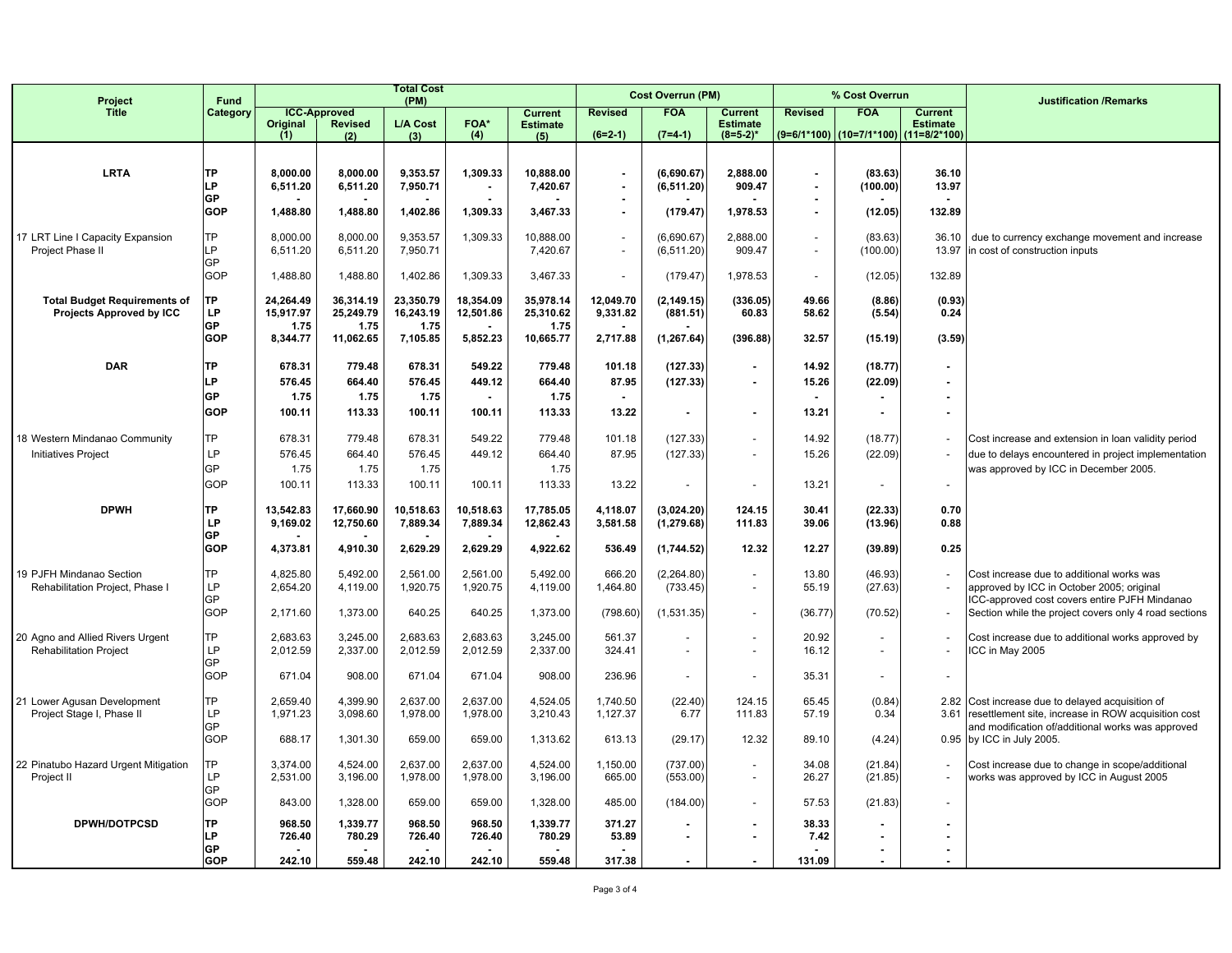| Project                              | Fund             | <b>Total Cost</b><br>(PM) |                                       |                 |                |                                   |                          | <b>Cost Overrun (PM)</b> |                                   |                | % Cost Overrun             |                                   | <b>Justification /Remarks</b>                         |
|--------------------------------------|------------------|---------------------------|---------------------------------------|-----------------|----------------|-----------------------------------|--------------------------|--------------------------|-----------------------------------|----------------|----------------------------|-----------------------------------|-------------------------------------------------------|
| <b>Title</b>                         | Category         | Original                  | <b>ICC-Approved</b><br><b>Revised</b> | <b>L/A Cost</b> | <b>FOA*</b>    | <b>Current</b><br><b>Estimate</b> | <b>Revised</b>           | <b>FOA</b>               | <b>Current</b><br><b>Estimate</b> | <b>Revised</b> | <b>FOA</b>                 | <b>Current</b><br><b>Estimate</b> |                                                       |
|                                      |                  | (1)                       | (2)                                   | (3)             | (4)            | (5)                               | $(6=2-1)$                | $(7=4-1)$                | $(8=5-2)^*$                       |                | (9=6/1*100)   (10=7/1*100) | $(11=8/2*100)$                    |                                                       |
|                                      |                  |                           |                                       |                 |                |                                   |                          |                          |                                   |                |                            |                                   |                                                       |
| <b>LRTA</b>                          | <b>TP</b>        | 8.000.00                  | 8.000.00                              | 9.353.57        | 1.309.33       | 10.888.00                         |                          | (6.690.67)               | 2.888.00                          |                | (83.63)                    | 36.10                             |                                                       |
|                                      | LP               | 6,511.20                  | 6,511.20                              | 7,950.71        |                | 7,420.67                          | ä,                       | (6, 511.20)              | 909.47                            | $\sim$         | (100.00)                   | 13.97                             |                                                       |
|                                      | GP<br><b>GOP</b> | 1,488.80                  | 1,488.80                              | 1,402.86        | 1,309.33       | 3,467.33                          | ٠<br>÷,                  | (179.47)                 | 1,978.53                          |                | (12.05)                    | 132.89                            |                                                       |
|                                      |                  |                           |                                       |                 |                |                                   |                          |                          |                                   |                |                            |                                   |                                                       |
| 17 LRT Line I Capacity Expansion     | TP               | 8,000.00                  | 8,000.00                              | 9,353.57        | 1,309.33       | 10,888.00                         | $\overline{\phantom{a}}$ | (6,690.67)               | 2.888.00                          |                | (83.63)                    | 36.10                             | due to currency exchange movement and increase        |
| Project Phase II                     | LP               | 6,511.20                  | 6,511.20                              | 7,950.71        |                | 7,420.67                          |                          | (6, 511.20)              | 909.47                            |                | (100.00)                   | 13.97                             | in cost of construction inputs                        |
|                                      | GP               |                           |                                       |                 |                |                                   |                          |                          |                                   |                |                            |                                   |                                                       |
|                                      | GOP              | 1,488.80                  | 1,488.80                              | 1,402.86        | 1,309.33       | 3,467.33                          | $\sim$                   | (179.47)                 | 1,978.53                          |                | (12.05)                    | 132.89                            |                                                       |
| <b>Total Budget Requirements of</b>  | <b>TP</b>        | 24.264.49                 | 36.314.19                             | 23.350.79       | 18.354.09      | 35.978.14                         | 12.049.70                | (2, 149.15)              | (336.05)                          | 49.66          | (8.86)                     | (0.93)                            |                                                       |
| <b>Projects Approved by ICC</b>      | LP               | 15,917.97                 | 25,249.79                             | 16,243.19       | 12,501.86      | 25,310.62                         | 9,331.82                 | (881.51)                 | 60.83                             | 58.62          | (5.54)                     | 0.24                              |                                                       |
|                                      | <b>GP</b>        | 1.75                      | 1.75                                  | 1.75            |                | 1.75                              |                          |                          |                                   |                |                            |                                   |                                                       |
|                                      | <b>GOP</b>       | 8,344.77                  | 11,062.65                             | 7,105.85        | 5,852.23       | 10,665.77                         | 2,717.88                 | (1, 267.64)              | (396.88)                          | 32.57          | (15.19)                    | (3.59)                            |                                                       |
| <b>DAR</b>                           | <b>TP</b>        | 678.31                    | 779.48                                | 678.31          | 549.22         | 779.48                            | 101.18                   | (127.33)                 | $\overline{\phantom{a}}$          | 14.92          | (18.77)                    | $\blacksquare$                    |                                                       |
|                                      | LP               | 576.45                    | 664.40                                | 576.45          | 449.12         | 664.40                            | 87.95                    | (127.33)                 | $\blacksquare$                    | 15.26          | (22.09)                    |                                   |                                                       |
|                                      | <b>GP</b>        | 1.75                      | 1.75                                  | 1.75            | $\overline{a}$ | 1.75                              | $\blacksquare$           |                          |                                   |                |                            | $\blacksquare$                    |                                                       |
|                                      | <b>GOP</b>       | 100.11                    | 113.33                                | 100.11          | 100.11         | 113.33                            | 13.22                    | ٠                        | $\blacksquare$                    | 13.21          | $\blacksquare$             | $\blacksquare$                    |                                                       |
|                                      |                  |                           |                                       |                 |                |                                   |                          |                          |                                   |                |                            |                                   |                                                       |
| 18 Western Mindanao Community        | TP               | 678.31                    | 779.48                                | 678.31          | 549.22         | 779.48                            | 101.18                   | (127.33)                 | $\overline{a}$                    | 14.92          | (18.77)                    |                                   | Cost increase and extension in loan validity period   |
| Initiatives Project                  | <b>LP</b>        | 576.45                    | 664.40                                | 576.45          | 449.12         | 664.40                            | 87.95                    | (127.33)                 | $\sim$                            | 15.26          | (22.09)                    | $\blacksquare$                    | due to delays encountered in project implementation   |
|                                      | GP               | 1.75                      | 1.75                                  | 1.75            |                | 1.75                              |                          |                          |                                   |                |                            |                                   | was approved by ICC in December 2005.                 |
|                                      | GOP              | 100.11                    | 113.33                                | 100.11          | 100.11         | 113.33                            | 13.22                    |                          |                                   | 13.21          |                            |                                   |                                                       |
| <b>DPWH</b>                          | <b>TP</b>        | 13.542.83                 | 17,660.90                             | 10,518.63       | 10,518.63      | 17,785.05                         | 4,118.07                 | (3,024.20)               | 124.15                            | 30.41          | (22.33)                    | 0.70                              |                                                       |
|                                      | LP               | 9,169.02                  | 12,750.60                             | 7,889.34        | 7,889.34       | 12,862.43                         | 3,581.58                 | (1, 279.68)              | 111.83                            | 39.06          | (13.96)                    | 0.88                              |                                                       |
|                                      | <b>GP</b>        |                           |                                       |                 |                |                                   |                          |                          |                                   |                |                            |                                   |                                                       |
|                                      | GOP              | 4,373.81                  | 4.910.30                              | 2,629.29        | 2.629.29       | 4,922.62                          | 536.49                   | (1,744.52)               | 12.32                             | 12.27          | (39.89)                    | 0.25                              |                                                       |
| 19 PJFH Mindanao Section             | <b>TP</b>        | 4,825.80                  | 5,492.00                              | 2.561.00        | 2.561.00       | 5.492.00                          | 666.20                   | (2, 264.80)              |                                   | 13.80          | (46.93)                    |                                   | Cost increase due to additional works was             |
| Rehabilitation Project, Phase I      | <b>LP</b>        | 2,654.20                  | 4,119.00                              | 1,920.75        | 1,920.75       | 4,119.00                          | 1,464.80                 | (733.45)                 | $\sim$                            | 55.19          | (27.63)                    |                                   | approved by ICC in October 2005; original             |
|                                      | GP               |                           |                                       |                 |                |                                   |                          |                          |                                   |                |                            |                                   | ICC-approved cost covers entire PJFH Mindanao         |
|                                      | GOP              | 2,171.60                  | 1,373.00                              | 640.25          | 640.25         | 1,373.00                          | (798.60)                 | (1,531.35)               | $\overline{a}$                    | (36.77)        | (70.52)                    | $\blacksquare$                    | Section while the project covers only 4 road sections |
| 20 Agno and Allied Rivers Urgent     | TP               | 2.683.63                  | 3.245.00                              | 2.683.63        | 2.683.63       | 3.245.00                          | 561.37                   |                          |                                   | 20.92          | $\blacksquare$             |                                   | Cost increase due to additional works approved by     |
| <b>Rehabilitation Project</b>        | <b>LP</b>        | 2,012.59                  | 2,337.00                              | 2,012.59        | 2,012.59       | 2,337.00                          | 324.41                   | $\overline{a}$           | $\overline{a}$                    | 16.12          | $\overline{a}$             |                                   | ICC in May 2005                                       |
|                                      | GP               |                           |                                       |                 |                |                                   |                          |                          |                                   |                |                            |                                   |                                                       |
|                                      | GOP              | 671.04                    | 908.00                                | 671.04          | 671.04         | 908.00                            | 236.96                   | $\overline{\phantom{a}}$ | $\overline{\phantom{a}}$          | 35.31          | $\overline{\phantom{a}}$   | $\overline{\phantom{a}}$          |                                                       |
| 21 Lower Agusan Development          | <b>TP</b>        | 2,659.40                  | 4,399.90                              | 2,637.00        | 2,637.00       | 4,524.05                          | 1,740.50                 | (22.40)                  | 124.15                            | 65.45          | (0.84)                     |                                   | 2.82 Cost increase due to delayed acquisition of      |
| Project Stage I, Phase II            | LP               | 1,971.23                  | 3,098.60                              | 1,978.00        | 1.978.00       | 3.210.43                          | 1,127.37                 | 6.77                     | 111.83                            | 57.19          | 0.34                       | 3.61                              | resettlement site, increase in ROW acquisition cost   |
|                                      | GP               |                           |                                       |                 |                |                                   |                          |                          |                                   |                |                            |                                   | and modification of/additional works was approved     |
|                                      | GOP              | 688.17                    | 1,301.30                              | 659.00          | 659.00         | 1,313.62                          | 613.13                   | (29.17)                  | 12.32                             | 89.10          | (4.24)                     |                                   | 0.95 by ICC in July 2005.                             |
| 22 Pinatubo Hazard Urgent Mitigation | <b>TP</b>        | 3.374.00                  | 4,524.00                              | 2,637.00        | 2.637.00       | 4,524.00                          | 1,150.00                 | (737.00)                 | $\sim$                            | 34.08          | (21.84)                    |                                   | Cost increase due to change in scope/additional       |
| Project II                           | <b>LP</b>        | 2,531.00                  | 3,196.00                              | 1,978.00        | 1,978.00       | 3,196.00                          | 665.00                   | (553.00)                 | $\overline{a}$                    | 26.27          | (21.85)                    |                                   | works was approved by ICC in August 2005              |
|                                      | GP               |                           |                                       |                 |                |                                   |                          |                          |                                   |                |                            |                                   |                                                       |
|                                      | <b>GOP</b>       | 843.00                    | 1,328.00                              | 659.00          | 659.00         | 1,328.00                          | 485.00                   | (184.00)                 | $\sim$                            | 57.53          | (21.83)                    | $\mathbf{r}$                      |                                                       |
| <b>DPWH/DOTPCSD</b>                  | <b>TP</b>        | 968.50                    | 1,339.77                              | 968.50          | 968.50         | 1,339.77                          | 371.27                   |                          | $\blacksquare$                    | 38.33          | ٠                          | $\overline{\phantom{a}}$          |                                                       |
|                                      | LP               | 726.40                    | 780.29                                | 726.40          | 726.40         | 780.29                            | 53.89                    | $\blacksquare$           | $\blacksquare$                    | 7.42           | ٠                          | $\overline{\phantom{a}}$          |                                                       |
|                                      | GP<br><b>GOP</b> | 242.10                    | 559.48                                | 242.10          | 242.10         | 559.48                            | 317.38                   |                          |                                   | 131.09         | ٠                          | $\overline{a}$                    |                                                       |
|                                      |                  |                           |                                       |                 |                |                                   |                          |                          |                                   |                |                            |                                   |                                                       |